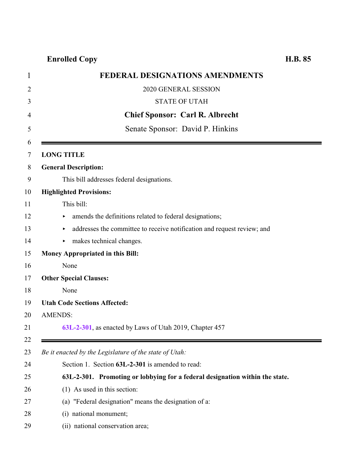## **Enrolled Copy H.B. 85**

<span id="page-0-0"></span>

| <b>FEDERAL DESIGNATIONS AMENDMENTS</b>                                       |
|------------------------------------------------------------------------------|
| 2020 GENERAL SESSION                                                         |
| <b>STATE OF UTAH</b>                                                         |
| <b>Chief Sponsor: Carl R. Albrecht</b>                                       |
| Senate Sponsor: David P. Hinkins                                             |
|                                                                              |
| <b>LONG TITLE</b>                                                            |
| <b>General Description:</b>                                                  |
| This bill addresses federal designations.                                    |
| <b>Highlighted Provisions:</b>                                               |
| This bill:                                                                   |
| amends the definitions related to federal designations;<br>Þ.                |
| addresses the committee to receive notification and request review; and      |
| makes technical changes.<br>Þ.                                               |
| <b>Money Appropriated in this Bill:</b>                                      |
| None                                                                         |
| <b>Other Special Clauses:</b>                                                |
| None                                                                         |
| <b>Utah Code Sections Affected:</b>                                          |
| <b>AMENDS:</b>                                                               |
| 63L-2-301, as enacted by Laws of Utah 2019, Chapter 457                      |
|                                                                              |
| Be it enacted by the Legislature of the state of Utah:                       |
| Section 1. Section 63L-2-301 is amended to read:                             |
| 63L-2-301. Promoting or lobbying for a federal designation within the state. |
| (1) As used in this section:                                                 |
| (a) "Federal designation" means the designation of a:                        |
| national monument;<br>(i)                                                    |
| (ii) national conservation area;                                             |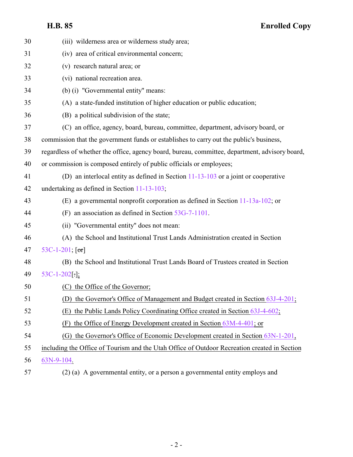## **H.B. 85 Enrolled Copy**

| 30 | (iii) wilderness area or wilderness study area;                                                |
|----|------------------------------------------------------------------------------------------------|
| 31 | (iv) area of critical environmental concern;                                                   |
| 32 | (v) research natural area; or                                                                  |
| 33 | (vi) national recreation area.                                                                 |
| 34 | (b) (i) "Governmental entity" means:                                                           |
| 35 | (A) a state-funded institution of higher education or public education;                        |
| 36 | (B) a political subdivision of the state;                                                      |
| 37 | (C) an office, agency, board, bureau, committee, department, advisory board, or                |
| 38 | commission that the government funds or establishes to carry out the public's business,        |
| 39 | regardless of whether the office, agency board, bureau, committee, department, advisory board, |
| 40 | or commission is composed entirely of public officials or employees;                           |
| 41 | (D) an interlocal entity as defined in Section $11-13-103$ or a joint or cooperative           |
| 42 | undertaking as defined in Section 11-13-103;                                                   |
| 43 | (E) a governmental nonprofit corporation as defined in Section $11-13a-102$ , or               |
| 44 | (F) an association as defined in Section $53G-7-1101$ .                                        |
| 45 | (ii) "Governmental entity" does not mean:                                                      |
| 46 | (A) the School and Institutional Trust Lands Administration created in Section                 |
| 47 | 53C-1-201; $[or]$                                                                              |
| 48 | (B) the School and Institutional Trust Lands Board of Trustees created in Section              |
| 49 | $53C-1-202$ [.];                                                                               |
| 50 | the Office of the Governor;                                                                    |
| 51 | (D) the Governor's Office of Management and Budget created in Section 63J-4-201;               |
| 52 | the Public Lands Policy Coordinating Office created in Section 63J-4-602;<br>(E)               |
| 53 | the Office of Energy Development created in Section $63M-4-401$ ; or<br>(F)                    |
| 54 | (G) the Governor's Office of Economic Development created in Section 63N-1-201,                |
| 55 | including the Office of Tourism and the Utah Office of Outdoor Recreation created in Section   |
| 56 | 63N-9-104.                                                                                     |
| 57 | (2) (a) A governmental entity, or a person a governmental entity employs and                   |

- 2 -